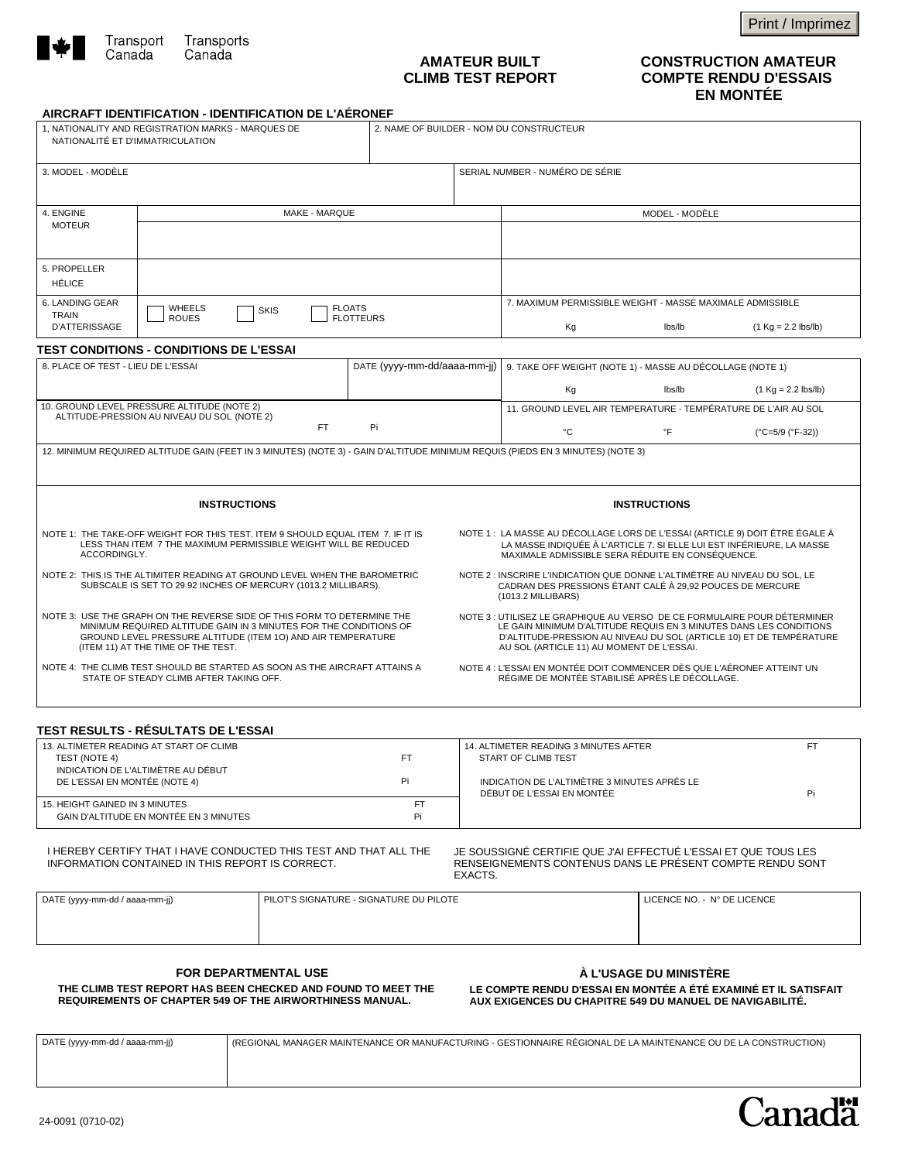

## **AMATEUR BUILT CLIMB TEST REPORT**

Print / Imprimez

## **CONSTRUCTION AMATEUR COMPTE RENDU D'ESSAIS EN MONTÉE**

## **AIRCRAFT IDENTIFICATION - IDENTIFICATION DE L'AÉRONEF**

| NATIONALITÉ ET D'IMMATRICULATION                                                                                                                                                                                                                   |                                                                                                                                                    |  |                              |                                                                                                                                                                                                                                                                    |                                                                                                                                                                                                           |                             |                                       |  |
|----------------------------------------------------------------------------------------------------------------------------------------------------------------------------------------------------------------------------------------------------|----------------------------------------------------------------------------------------------------------------------------------------------------|--|------------------------------|--------------------------------------------------------------------------------------------------------------------------------------------------------------------------------------------------------------------------------------------------------------------|-----------------------------------------------------------------------------------------------------------------------------------------------------------------------------------------------------------|-----------------------------|---------------------------------------|--|
| 3. MODEL - MODÈLE                                                                                                                                                                                                                                  |                                                                                                                                                    |  |                              |                                                                                                                                                                                                                                                                    | SERIAL NUMBER - NUMÉRO DE SÉRIE                                                                                                                                                                           |                             |                                       |  |
| 4. ENGINE<br><b>MOTEUR</b>                                                                                                                                                                                                                         | MAKE - MAROUE                                                                                                                                      |  |                              |                                                                                                                                                                                                                                                                    | MODEL - MODÈLE                                                                                                                                                                                            |                             |                                       |  |
|                                                                                                                                                                                                                                                    |                                                                                                                                                    |  |                              |                                                                                                                                                                                                                                                                    |                                                                                                                                                                                                           |                             |                                       |  |
| 5. PROPELLER<br><b>HÉLICE</b>                                                                                                                                                                                                                      |                                                                                                                                                    |  |                              |                                                                                                                                                                                                                                                                    |                                                                                                                                                                                                           |                             |                                       |  |
| 6. LANDING GEAR<br><b>WHEELS</b><br><b>FLOATS</b><br><b>SKIS</b><br><b>TRAIN</b><br><b>ROUES</b><br><b>FLOTTEURS</b>                                                                                                                               |                                                                                                                                                    |  |                              |                                                                                                                                                                                                                                                                    | 7. MAXIMUM PERMISSIBLE WEIGHT - MASSE MAXIMALE ADMISSIBLE                                                                                                                                                 |                             |                                       |  |
| <b>D'ATTERISSAGE</b>                                                                                                                                                                                                                               |                                                                                                                                                    |  |                              |                                                                                                                                                                                                                                                                    | Кg                                                                                                                                                                                                        | lbs/lb                      | $(1 Kq = 2.2$ lbs/lb)                 |  |
| 8. PLACE OF TEST - LIEU DE L'ESSAI                                                                                                                                                                                                                 | <b>TEST CONDITIONS - CONDITIONS DE L'ESSAI</b>                                                                                                     |  | DATE (yyyy-mm-dd/aaaa-mm-jj) |                                                                                                                                                                                                                                                                    | 9. TAKE OFF WEIGHT (NOTE 1) - MASSE AU DÉCOLLAGE (NOTE 1)                                                                                                                                                 |                             |                                       |  |
|                                                                                                                                                                                                                                                    |                                                                                                                                                    |  |                              |                                                                                                                                                                                                                                                                    |                                                                                                                                                                                                           | lbs/lb                      |                                       |  |
|                                                                                                                                                                                                                                                    | 10. GROUND LEVEL PRESSURE ALTITUDE (NOTE 2)                                                                                                        |  |                              |                                                                                                                                                                                                                                                                    | Kg<br>11. GROUND LEVEL AIR TEMPERATURE - TEMPÉRATURE DE L'AIR AU SOL                                                                                                                                      |                             | $(1 \text{ Kg} = 2.2 \text{ lbs/lb})$ |  |
| ALTITUDE-PRESSION AU NIVEAU DU SOL (NOTE 2)<br>FT.<br>Pi                                                                                                                                                                                           |                                                                                                                                                    |  |                              |                                                                                                                                                                                                                                                                    |                                                                                                                                                                                                           | °F                          |                                       |  |
|                                                                                                                                                                                                                                                    |                                                                                                                                                    |  |                              |                                                                                                                                                                                                                                                                    | $^{\circ}{\rm C}$                                                                                                                                                                                         |                             | (°C=5/9 (°F-32))                      |  |
|                                                                                                                                                                                                                                                    |                                                                                                                                                    |  |                              |                                                                                                                                                                                                                                                                    | 12. MINIMUM REQUIRED ALTITUDE GAIN (FEET IN 3 MINUTES) (NOTE 3) - GAIN D'ALTITUDE MINIMUM REQUIS (PIEDS EN 3 MINUTES) (NOTE 3)                                                                            |                             |                                       |  |
|                                                                                                                                                                                                                                                    |                                                                                                                                                    |  |                              |                                                                                                                                                                                                                                                                    |                                                                                                                                                                                                           |                             |                                       |  |
| <b>INSTRUCTIONS</b>                                                                                                                                                                                                                                |                                                                                                                                                    |  |                              |                                                                                                                                                                                                                                                                    | <b>INSTRUCTIONS</b>                                                                                                                                                                                       |                             |                                       |  |
| ACCORDINGLY.                                                                                                                                                                                                                                       | NOTE 1: THE TAKE-OFF WEIGHT FOR THIS TEST. ITEM 9 SHOULD EQUAL ITEM 7. IF IT IS<br>LESS THAN ITEM 7 THE MAXIMUM PERMISSIBLE WEIGHT WILL BE REDUCED |  |                              |                                                                                                                                                                                                                                                                    | NOTE 1 : LA MASSE AU DÉCOLLAGE LORS DE L'ESSAI (ARTICLE 9) DOIT ÊTRE ÉGALE À<br>LA MASSE INDIQUÉE À L'ARTICLE 7. SI ELLE LUI EST INFÉRIEURE, LA MASSE<br>MAXIMALE ADMISSIBLE SERA RÉDUITE EN CONSÉQUENCE. |                             |                                       |  |
| NOTE 2: THIS IS THE ALTIMITER READING AT GROUND LEVEL WHEN THE BAROMETRIC<br>SUBSCALE IS SET TO 29.92 INCHES OF MERCURY (1013.2 MILLIBARS).                                                                                                        |                                                                                                                                                    |  |                              | NOTE 2 : INSCRIRE L'INDICATION QUE DONNE L'ALTIMÈTRE AU NIVEAU DU SOL, LE<br>CADRAN DES PRESSIONS ÉTANT CALÉ À 29,92 POUCES DE MERCURE<br>(1013.2 MILLIBARS)                                                                                                       |                                                                                                                                                                                                           |                             |                                       |  |
| NOTE 3: USE THE GRAPH ON THE REVERSE SIDE OF THIS FORM TO DETERMINE THE<br>MINIMUM REQUIRED ALTITUDE GAIN IN 3 MINUTES FOR THE CONDITIONS OF<br>GROUND LEVEL PRESSURE ALTITUDE (ITEM 10) AND AIR TEMPERATURE<br>(ITEM 11) AT THE TIME OF THE TEST. |                                                                                                                                                    |  |                              | NOTE 3 : UTILISEZ LE GRAPHIQUE AU VERSO DE CE FORMULAIRE POUR DÉTERMINER<br>LE GAIN MINIMUM D'ALTITUDE REQUIS EN 3 MINUTES DANS LES CONDITIONS<br>D'ALTITUDE-PRESSION AU NIVEAU DU SOL (ARTICLE 10) ET DE TEMPÉRATURE<br>AU SOL (ARTICLE 11) AU MOMENT DE L'ESSAI. |                                                                                                                                                                                                           |                             |                                       |  |
| NOTE 4: THE CLIMB TEST SHOULD BE STARTED AS SOON AS THE AIRCRAFT ATTAINS A<br>STATE OF STEADY CLIMB AFTER TAKING OFF.                                                                                                                              |                                                                                                                                                    |  |                              | NOTE 4 : L'ESSAI EN MONTÉE DOIT COMMENCER DÈS QUE L'AÉRONEF ATTEINT UN<br>RÉGIME DE MONTÉE STABILISÉ APRÈS LE DÉCOLLAGE.                                                                                                                                           |                                                                                                                                                                                                           |                             |                                       |  |
|                                                                                                                                                                                                                                                    | <b>TEST RESULTS - RÉSULTATS DE L'ESSAI</b>                                                                                                         |  |                              |                                                                                                                                                                                                                                                                    |                                                                                                                                                                                                           |                             |                                       |  |
| 13. ALTIMETER READING AT START OF CLIMB<br>TEST (NOTE 4)                                                                                                                                                                                           |                                                                                                                                                    |  | <b>FT</b>                    |                                                                                                                                                                                                                                                                    | 14. ALTIMETER READING 3 MINUTES AFTER<br>START OF CLIMB TEST                                                                                                                                              |                             | FT.                                   |  |
| INDICATION DE L'ALTIMÈTRE AU DÉBUT<br>Pi<br>DE L'ESSAI EN MONTÉE (NOTE 4)                                                                                                                                                                          |                                                                                                                                                    |  |                              | INDICATION DE L'ALTIMÈTRE 3 MINUTES APRÈS LE<br>DÉBUT DE L'ESSAI EN MONTÉE<br>Pi                                                                                                                                                                                   |                                                                                                                                                                                                           |                             |                                       |  |
| 15. HEIGHT GAINED IN 3 MINUTES<br>FT<br>GAIN D'ALTITUDE EN MONTÉE EN 3 MINUTES<br>Pi                                                                                                                                                               |                                                                                                                                                    |  |                              |                                                                                                                                                                                                                                                                    |                                                                                                                                                                                                           |                             |                                       |  |
|                                                                                                                                                                                                                                                    | I HEREBY CERTIFY THAT I HAVE CONDUCTED THIS TEST AND THAT ALL THE<br>INFORMATION CONTAINED IN THIS REPORT IS CORRECT.                              |  |                              | EXACTS.                                                                                                                                                                                                                                                            | JE SOUSSIGNÉ CERTIFIE QUE J'AI EFFECTUÉ L'ESSAI ET QUE TOUS LES<br>RENSEIGNEMENTS CONTENUS DANS LE PRÉSENT COMPTE RENDU SONT                                                                              |                             |                                       |  |
| DATE (yyyy-mm-dd / aaaa-mm-jj)<br>PILOT'S SIGNATURE - SIGNATURE DU PILOTE                                                                                                                                                                          |                                                                                                                                                    |  |                              |                                                                                                                                                                                                                                                                    |                                                                                                                                                                                                           | LICENCE NO. - N° DE LICENCE |                                       |  |
|                                                                                                                                                                                                                                                    |                                                                                                                                                    |  |                              |                                                                                                                                                                                                                                                                    |                                                                                                                                                                                                           |                             |                                       |  |
|                                                                                                                                                                                                                                                    |                                                                                                                                                    |  |                              |                                                                                                                                                                                                                                                                    |                                                                                                                                                                                                           |                             |                                       |  |

| DATE (yyyy-mm-dd / aaaa-mm-jj) | (REGIONAL MANAGER MAINTENANCE OR MANUFACTURING - GESTIONNAIRE RÉGIONAL DE LA MAINTENANCE OU DE LA CONSTRUCTION) |
|--------------------------------|-----------------------------------------------------------------------------------------------------------------|
|                                |                                                                                                                 |
|                                |                                                                                                                 |
| 24-0091 (0710-02)              | Canad <sup>*</sup>                                                                                              |